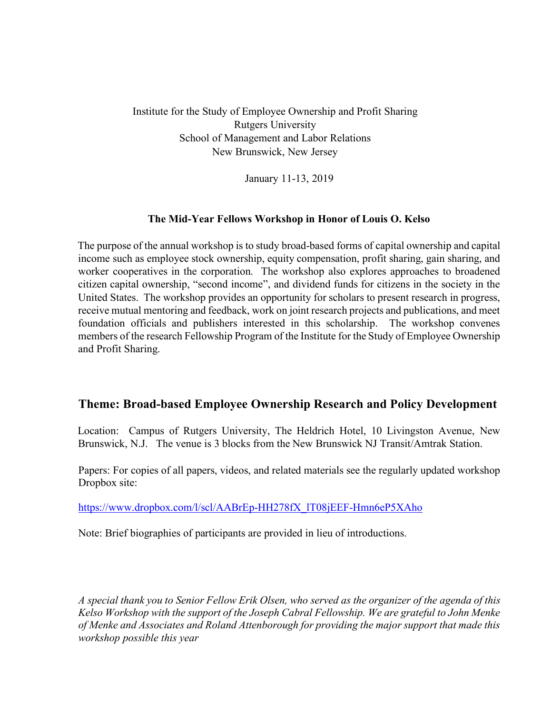Institute for the Study of Employee Ownership and Profit Sharing Rutgers University School of Management and Labor Relations New Brunswick, New Jersey

January 11-13, 2019

# **The Mid-Year Fellows Workshop in Honor of Louis O. Kelso**

The purpose of the annual workshop is to study broad-based forms of capital ownership and capital income such as employee stock ownership, equity compensation, profit sharing, gain sharing, and worker cooperatives in the corporation. The workshop also explores approaches to broadened citizen capital ownership, "second income", and dividend funds for citizens in the society in the United States. The workshop provides an opportunity for scholars to present research in progress, receive mutual mentoring and feedback, work on joint research projects and publications, and meet foundation officials and publishers interested in this scholarship. The workshop convenes members of the research Fellowship Program of the Institute for the Study of Employee Ownership and Profit Sharing.

# **Theme: Broad-based Employee Ownership Research and Policy Development**

Location: Campus of Rutgers University, The Heldrich Hotel, 10 Livingston Avenue, New Brunswick, N.J. The venue is 3 blocks from the New Brunswick NJ Transit/Amtrak Station.

Papers: For copies of all papers, videos, and related materials see the regularly updated workshop Dropbox site:

https://www.dropbox.com/l/scl/AABrEp-HH278fX\_lT08jEEF-Hmn6eP5XAho

Note: Brief biographies of participants are provided in lieu of introductions.

*A special thank you to Senior Fellow Erik Olsen, who served as the organizer of the agenda of this Kelso Workshop with the support of the Joseph Cabral Fellowship. We are grateful to John Menke of Menke and Associates and Roland Attenborough for providing the major support that made this workshop possible this year*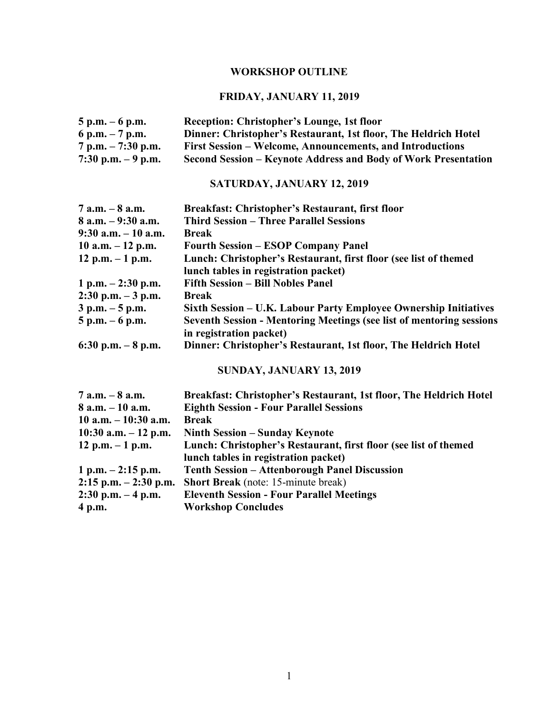# **WORKSHOP OUTLINE**

# **FRIDAY, JANUARY 11, 2019**

| $5 p.m. - 6 p.m.$    | Reception: Christopher's Lounge, 1st floor                      |
|----------------------|-----------------------------------------------------------------|
| 6 p.m. $-7$ p.m.     | Dinner: Christopher's Restaurant, 1st floor, The Heldrich Hotel |
| $7 p.m. - 7:30 p.m.$ | First Session – Welcome, Announcements, and Introductions       |
| 7:30 p.m. $-9$ p.m.  | Second Session – Keynote Address and Body of Work Presentation  |

# **SATURDAY, JANUARY 12, 2019**

| $7$ a.m. $-8$ a.m.     | Breakfast: Christopher's Restaurant, first floor                            |
|------------------------|-----------------------------------------------------------------------------|
| $8$ a.m. $-9:30$ a.m.  | <b>Third Session – Three Parallel Sessions</b>                              |
| $9:30$ a.m. $-10$ a.m. | <b>Break</b>                                                                |
| 10 a.m. $-12$ p.m.     | <b>Fourth Session – ESOP Company Panel</b>                                  |
| 12 p.m. $-1$ p.m.      | Lunch: Christopher's Restaurant, first floor (see list of themed            |
|                        | lunch tables in registration packet)                                        |
| 1 p.m. $-2:30$ p.m.    | <b>Fifth Session - Bill Nobles Panel</b>                                    |
| $2:30$ p.m. $-3$ p.m.  | <b>Break</b>                                                                |
| $3$ p.m. $-5$ p.m.     | Sixth Session – U.K. Labour Party Employee Ownership Initiatives            |
| $5 p.m. - 6 p.m.$      | <b>Seventh Session - Mentoring Meetings (see list of mentoring sessions</b> |
|                        | in registration packet)                                                     |
| 6:30 p.m. $-8$ p.m.    | Dinner: Christopher's Restaurant, 1st floor, The Heldrich Hotel             |

# **SUNDAY, JANUARY 13, 2019**

| 7 a.m. – 8 a.m.          | Breakfast: Christopher's Restaurant, 1st floor, The Heldrich Hotel |
|--------------------------|--------------------------------------------------------------------|
| 8 a.m. – 10 a.m.         | <b>Eighth Session - Four Parallel Sessions</b>                     |
| $10$ a.m. $-10:30$ a.m.  | <b>Break</b>                                                       |
| $10:30$ a.m. $-12$ p.m.  | Ninth Session – Sunday Keynote                                     |
| 12 p.m. $-1$ p.m.        | Lunch: Christopher's Restaurant, first floor (see list of themed   |
|                          | lunch tables in registration packet)                               |
| $1 p.m. - 2:15 p.m.$     | <b>Tenth Session – Attenborough Panel Discussion</b>               |
| $2:15$ p.m. $-2:30$ p.m. | <b>Short Break</b> (note: 15-minute break)                         |
| $2:30$ p.m. $-4$ p.m.    | <b>Eleventh Session - Four Parallel Meetings</b>                   |
| 4 p.m.                   | <b>Workshop Concludes</b>                                          |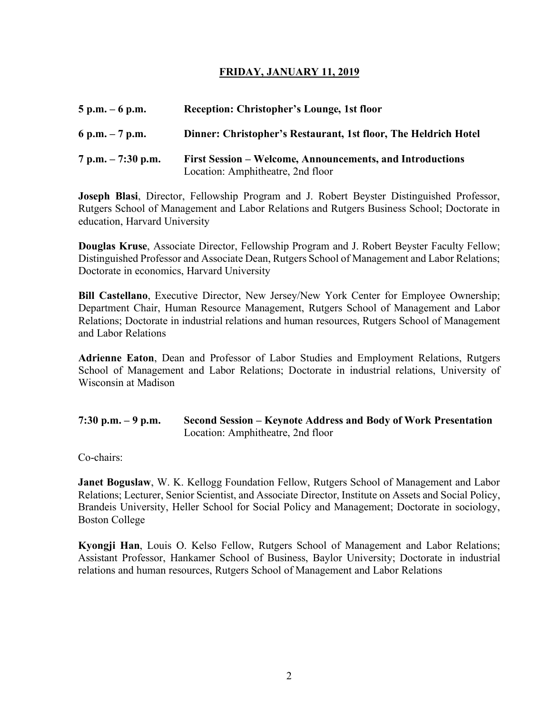# **FRIDAY, JANUARY 11, 2019**

| $5$ p.m. $-6$ p.m.   | Reception: Christopher's Lounge, 1st floor                                                     |
|----------------------|------------------------------------------------------------------------------------------------|
| 6 p.m. $-7$ p.m.     | Dinner: Christopher's Restaurant, 1st floor, The Heldrich Hotel                                |
| $7 p.m. - 7:30 p.m.$ | First Session – Welcome, Announcements, and Introductions<br>Location: Amphitheatre, 2nd floor |

**Joseph Blasi**, Director, Fellowship Program and J. Robert Beyster Distinguished Professor, Rutgers School of Management and Labor Relations and Rutgers Business School; Doctorate in education, Harvard University

**Douglas Kruse**, Associate Director, Fellowship Program and J. Robert Beyster Faculty Fellow; Distinguished Professor and Associate Dean, Rutgers School of Management and Labor Relations; Doctorate in economics, Harvard University

**Bill Castellano**, Executive Director, New Jersey/New York Center for Employee Ownership; Department Chair, Human Resource Management, Rutgers School of Management and Labor Relations; Doctorate in industrial relations and human resources, Rutgers School of Management and Labor Relations

**Adrienne Eaton**, Dean and Professor of Labor Studies and Employment Relations, Rutgers School of Management and Labor Relations; Doctorate in industrial relations, University of Wisconsin at Madison

| 7:30 p.m. $-9$ p.m. | Second Session – Keynote Address and Body of Work Presentation |
|---------------------|----------------------------------------------------------------|
|                     | Location: Amphitheatre, 2nd floor                              |

Co-chairs:

**Janet Boguslaw, W. K. Kellogg Foundation Fellow, Rutgers School of Management and Labor** Relations; Lecturer, Senior Scientist, and Associate Director, Institute on Assets and Social Policy, Brandeis University, Heller School for Social Policy and Management; Doctorate in sociology, Boston College

**Kyongji Han**, Louis O. Kelso Fellow, Rutgers School of Management and Labor Relations; Assistant Professor, Hankamer School of Business, Baylor University; Doctorate in industrial relations and human resources, Rutgers School of Management and Labor Relations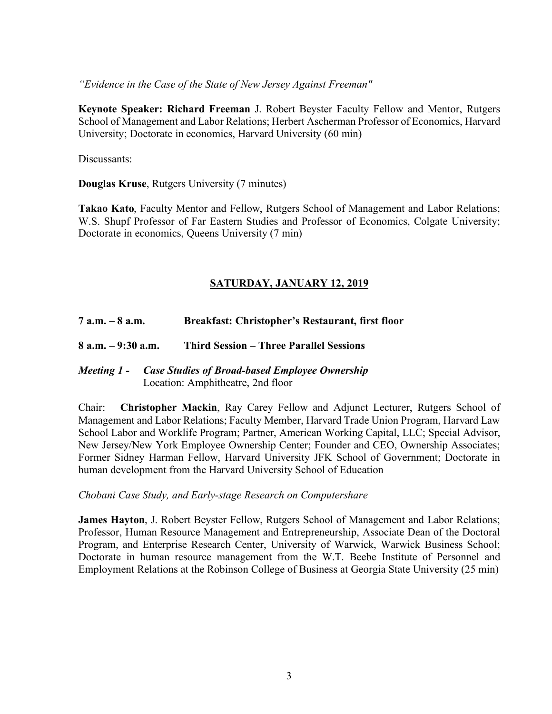*"Evidence in the Case of the State of New Jersey Against Freeman"*

**Keynote Speaker: Richard Freeman** J. Robert Beyster Faculty Fellow and Mentor, Rutgers School of Management and Labor Relations; Herbert Ascherman Professor of Economics, Harvard University; Doctorate in economics, Harvard University (60 min)

Discussants:

**Douglas Kruse**, Rutgers University (7 minutes)

**Takao Kato**, Faculty Mentor and Fellow, Rutgers School of Management and Labor Relations; W.S. Shupf Professor of Far Eastern Studies and Professor of Economics, Colgate University; Doctorate in economics, Queens University (7 min)

# **SATURDAY, JANUARY 12, 2019**

**7 a.m. – 8 a.m. Breakfast: Christopher's Restaurant, first floor**

**8 a.m. – 9:30 a.m. Third Session – Three Parallel Sessions**

# *Meeting 1 - Case Studies of Broad-based Employee Ownership* Location: Amphitheatre, 2nd floor

Chair: **Christopher Mackin**, Ray Carey Fellow and Adjunct Lecturer, Rutgers School of Management and Labor Relations; Faculty Member, Harvard Trade Union Program, Harvard Law School Labor and Worklife Program; Partner, American Working Capital, LLC; Special Advisor, New Jersey/New York Employee Ownership Center; Founder and CEO, Ownership Associates; Former Sidney Harman Fellow, Harvard University JFK School of Government; Doctorate in human development from the Harvard University School of Education

### *Chobani Case Study, and Early-stage Research on Computershare*

**James Hayton**, J. Robert Beyster Fellow, Rutgers School of Management and Labor Relations; Professor, Human Resource Management and Entrepreneurship, Associate Dean of the Doctoral Program, and Enterprise Research Center, University of Warwick, Warwick Business School; Doctorate in human resource management from the W.T. Beebe Institute of Personnel and Employment Relations at the Robinson College of Business at Georgia State University (25 min)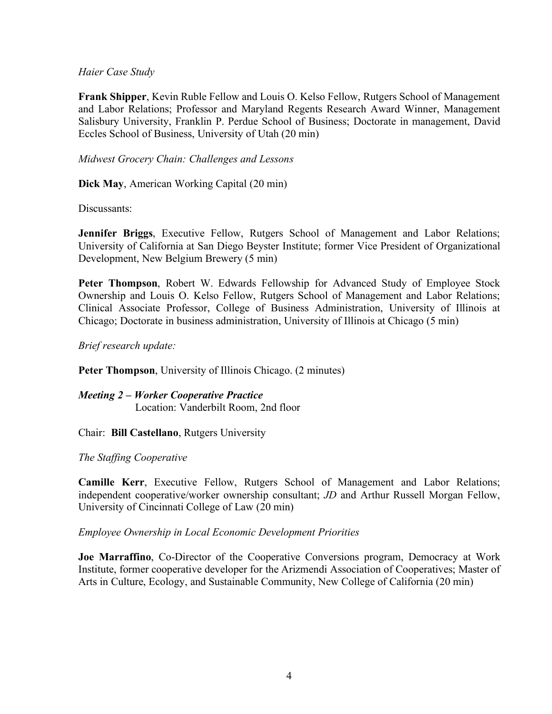## *Haier Case Study*

**Frank Shipper**, Kevin Ruble Fellow and Louis O. Kelso Fellow, Rutgers School of Management and Labor Relations; Professor and Maryland Regents Research Award Winner, Management Salisbury University, Franklin P. Perdue School of Business; Doctorate in management, David Eccles School of Business, University of Utah (20 min)

# *Midwest Grocery Chain: Challenges and Lessons*

**Dick May**, American Working Capital (20 min)

Discussants:

**Jennifer Briggs**, Executive Fellow, Rutgers School of Management and Labor Relations; University of California at San Diego Beyster Institute; former Vice President of Organizational Development, New Belgium Brewery (5 min)

**Peter Thompson**, Robert W. Edwards Fellowship for Advanced Study of Employee Stock Ownership and Louis O. Kelso Fellow, Rutgers School of Management and Labor Relations; Clinical Associate Professor, College of Business Administration, University of Illinois at Chicago; Doctorate in business administration, University of Illinois at Chicago (5 min)

*Brief research update:*

Peter Thompson, University of Illinois Chicago. (2 minutes)

*Meeting 2 – Worker Cooperative Practice* Location: Vanderbilt Room, 2nd floor

Chair: **Bill Castellano**, Rutgers University

### *The Staffing Cooperative*

**Camille Kerr**, Executive Fellow, Rutgers School of Management and Labor Relations; independent cooperative/worker ownership consultant; *JD* and Arthur Russell Morgan Fellow, University of Cincinnati College of Law (20 min)

### *Employee Ownership in Local Economic Development Priorities*

**Joe Marraffino**, Co-Director of the Cooperative Conversions program, Democracy at Work Institute, former cooperative developer for the Arizmendi Association of Cooperatives; Master of Arts in Culture, Ecology, and Sustainable Community, New College of California (20 min)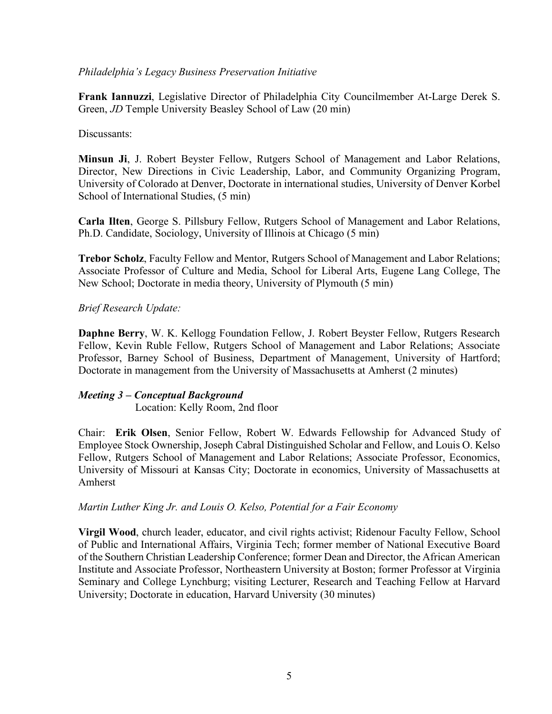# *Philadelphia's Legacy Business Preservation Initiative*

**Frank Iannuzzi**, Legislative Director of Philadelphia City Councilmember At-Large Derek S. Green, *JD* Temple University Beasley School of Law (20 min)

# Discussants:

**Minsun Ji**, J. Robert Beyster Fellow, Rutgers School of Management and Labor Relations, Director, New Directions in Civic Leadership, Labor, and Community Organizing Program, University of Colorado at Denver, Doctorate in international studies, University of Denver Korbel School of International Studies, (5 min)

**Carla Ilten**, George S. Pillsbury Fellow, Rutgers School of Management and Labor Relations, Ph.D. Candidate, Sociology, University of Illinois at Chicago (5 min)

**Trebor Scholz**, Faculty Fellow and Mentor, Rutgers School of Management and Labor Relations; Associate Professor of Culture and Media, School for Liberal Arts, Eugene Lang College, The New School; Doctorate in media theory, University of Plymouth (5 min)

# *Brief Research Update:*

**Daphne Berry**, W. K. Kellogg Foundation Fellow, J. Robert Beyster Fellow, Rutgers Research Fellow, Kevin Ruble Fellow, Rutgers School of Management and Labor Relations; Associate Professor, Barney School of Business, Department of Management, University of Hartford; Doctorate in management from the University of Massachusetts at Amherst (2 minutes)

### *Meeting 3 – Conceptual Background*

Location: Kelly Room, 2nd floor

Chair: **Erik Olsen**, Senior Fellow, Robert W. Edwards Fellowship for Advanced Study of Employee Stock Ownership, Joseph Cabral Distinguished Scholar and Fellow, and Louis O. Kelso Fellow, Rutgers School of Management and Labor Relations; Associate Professor, Economics, University of Missouri at Kansas City; Doctorate in economics, University of Massachusetts at Amherst

### *Martin Luther King Jr. and Louis O. Kelso, Potential for a Fair Economy*

**Virgil Wood**, church leader, educator, and civil rights activist; Ridenour Faculty Fellow, School of Public and International Affairs, Virginia Tech; former member of National Executive Board of the Southern Christian Leadership Conference; former Dean and Director, the African American Institute and Associate Professor, Northeastern University at Boston; former Professor at Virginia Seminary and College Lynchburg; visiting Lecturer, Research and Teaching Fellow at Harvard University; Doctorate in education, Harvard University (30 minutes)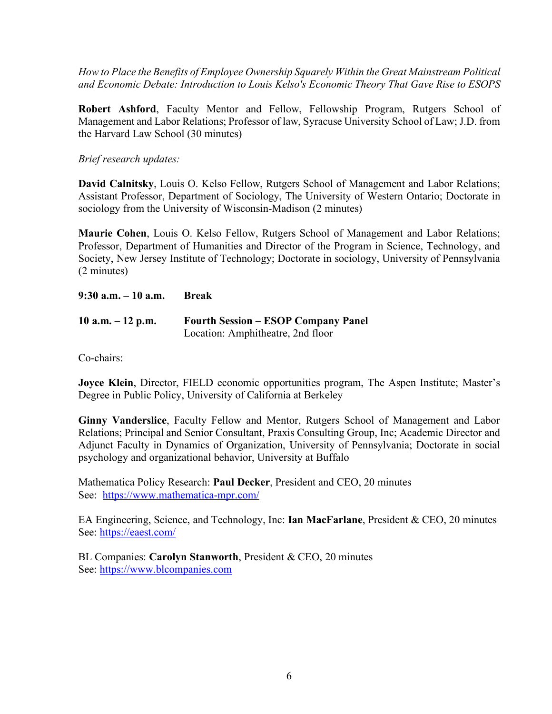*How to Place the Benefits of Employee Ownership Squarely Within the Great Mainstream Political and Economic Debate: Introduction to Louis Kelso's Economic Theory That Gave Rise to ESOPS*

**Robert Ashford**, Faculty Mentor and Fellow, Fellowship Program, Rutgers School of Management and Labor Relations; Professor of law, Syracuse University School of Law; J.D. from the Harvard Law School (30 minutes)

*Brief research updates:*

**David Calnitsky**, Louis O. Kelso Fellow, Rutgers School of Management and Labor Relations; Assistant Professor, Department of Sociology, The University of Western Ontario; Doctorate in sociology from the University of Wisconsin-Madison (2 minutes)

**Maurie Cohen**, Louis O. Kelso Fellow, Rutgers School of Management and Labor Relations; Professor, Department of Humanities and Director of the Program in Science, Technology, and Society, New Jersey Institute of Technology; Doctorate in sociology, University of Pennsylvania (2 minutes)

**9:30 a.m. – 10 a.m. Break**

| 10 a.m. $-12$ p.m. | <b>Fourth Session – ESOP Company Panel</b> |
|--------------------|--------------------------------------------|
|                    | Location: Amphitheatre, 2nd floor          |

Co-chairs:

**Joyce Klein**, Director, FIELD economic opportunities program, The Aspen Institute; Master's Degree in Public Policy, University of California at Berkeley

**Ginny Vanderslice**, Faculty Fellow and Mentor, Rutgers School of Management and Labor Relations; Principal and Senior Consultant, Praxis Consulting Group, Inc; Academic Director and Adjunct Faculty in Dynamics of Organization, University of Pennsylvania; Doctorate in social psychology and organizational behavior, University at Buffalo

Mathematica Policy Research: **Paul Decker**, President and CEO, 20 minutes See: https://www.mathematica-mpr.com/

EA Engineering, Science, and Technology, Inc: **Ian MacFarlane**, President & CEO, 20 minutes See: https://eaest.com/

BL Companies: **Carolyn Stanworth**, President & CEO, 20 minutes See: https://www.blcompanies.com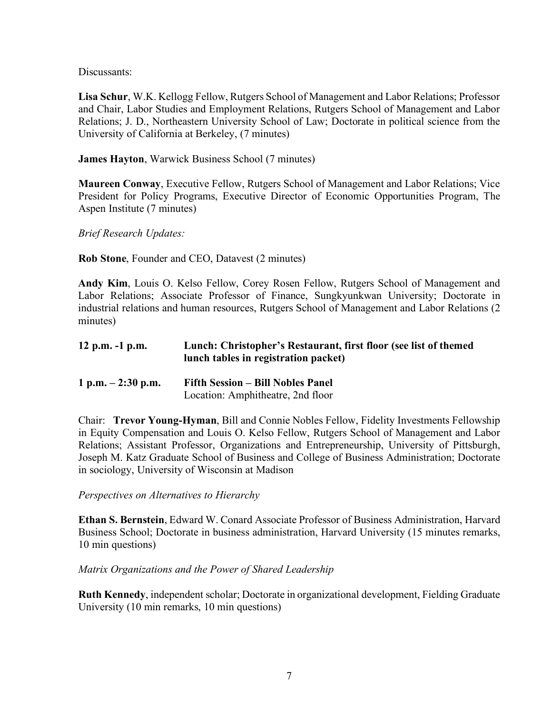Discussants:

**Lisa Schur**, W.K. Kellogg Fellow, Rutgers School of Management and Labor Relations; Professor and Chair, Labor Studies and Employment Relations, Rutgers School of Management and Labor Relations; J. D., Northeastern University School of Law; Doctorate in political science from the University of California at Berkeley, (7 minutes)

**James Hayton**, Warwick Business School (7 minutes)

**Maureen Conway**, Executive Fellow, Rutgers School of Management and Labor Relations; Vice President for Policy Programs, Executive Director of Economic Opportunities Program, The Aspen Institute (7 minutes)

*Brief Research Updates:*

**Rob Stone**, Founder and CEO, Datavest (2 minutes)

**Andy Kim**, Louis O. Kelso Fellow, Corey Rosen Fellow, Rutgers School of Management and Labor Relations; Associate Professor of Finance, Sungkyunkwan University; Doctorate in industrial relations and human resources, Rutgers School of Management and Labor Relations (2 minutes)

| 12 p.m. $-1$ p.m.   | Lunch: Christopher's Restaurant, first floor (see list of themed<br>lunch tables in registration packet) |
|---------------------|----------------------------------------------------------------------------------------------------------|
| 1 p.m. $-2:30$ p.m. | <b>Fifth Session – Bill Nobles Panel</b><br>Location: Amphitheatre, 2nd floor                            |

Chair: **Trevor Young-Hyman**, Bill and Connie Nobles Fellow, Fidelity Investments Fellowship in Equity Compensation and Louis O. Kelso Fellow, Rutgers School of Management and Labor Relations; Assistant Professor, Organizations and Entrepreneurship, University of Pittsburgh, Joseph M. Katz Graduate School of Business and College of Business Administration; Doctorate in sociology, University of Wisconsin at Madison

*Perspectives on Alternatives to Hierarchy*

**Ethan S. Bernstein**, Edward W. Conard Associate Professor of Business Administration, Harvard Business School; Doctorate in business administration, Harvard University (15 minutes remarks, 10 min questions)

# *Matrix Organizations and the Power of Shared Leadership*

**Ruth Kennedy**, independent scholar; Doctorate in organizational development, Fielding Graduate University (10 min remarks, 10 min questions)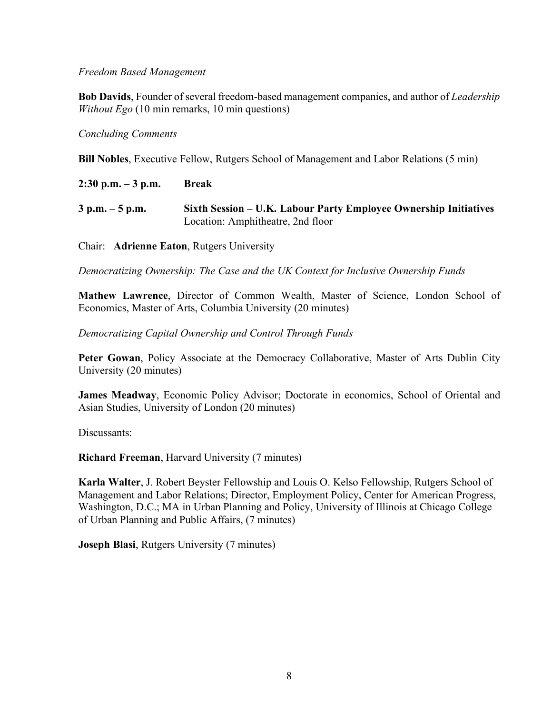### *Freedom Based Management*

**Bob Davids**, Founder of several freedom-based management companies, and author of *Leadership Without Ego* (10 min remarks, 10 min questions)

## *Concluding Comments*

**Bill Nobles**, Executive Fellow, Rutgers School of Management and Labor Relations (5 min)

| $2:30$ p.m. $-3$ p.m. | <b>Break</b>                                                                                          |
|-----------------------|-------------------------------------------------------------------------------------------------------|
| $3$ p.m. $-5$ p.m.    | Sixth Session – U.K. Labour Party Employee Ownership Initiatives<br>Location: Amphitheatre, 2nd floor |

Chair: **Adrienne Eaton**, Rutgers University

*Democratizing Ownership: The Case and the UK Context for Inclusive Ownership Funds*

**Mathew Lawrence**, Director of Common Wealth, Master of Science, London School of Economics, Master of Arts, Columbia University (20 minutes)

*Democratizing Capital Ownership and Control Through Funds*

**Peter Gowan**, Policy Associate at the Democracy Collaborative, Master of Arts Dublin City University (20 minutes)

**James Meadway**, Economic Policy Advisor; Doctorate in economics, School of Oriental and Asian Studies, University of London (20 minutes)

Discussants:

**Richard Freeman**, Harvard University (7 minutes)

**Karla Walter**, J. Robert Beyster Fellowship and Louis O. Kelso Fellowship, Rutgers School of Management and Labor Relations; Director, Employment Policy, Center for American Progress, Washington, D.C.; MA in Urban Planning and Policy, University of Illinois at Chicago College of Urban Planning and Public Affairs, (7 minutes)

**Joseph Blasi**, Rutgers University (7 minutes)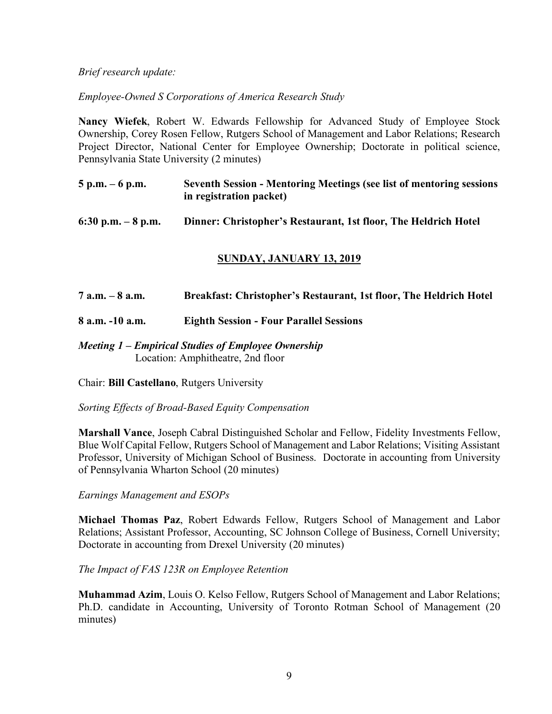*Brief research update:*

*Employee-Owned S Corporations of America Research Study*

**Nancy Wiefek**, Robert W. Edwards Fellowship for Advanced Study of Employee Stock Ownership, Corey Rosen Fellow, Rutgers School of Management and Labor Relations; Research Project Director, National Center for Employee Ownership; Doctorate in political science, Pennsylvania State University (2 minutes)

| $5 p.m. - 6 p.m.$ | <b>Seventh Session - Mentoring Meetings (see list of mentoring sessions</b> |
|-------------------|-----------------------------------------------------------------------------|
|                   | in registration packet)                                                     |

**6:30 p.m. – 8 p.m. Dinner: Christopher's Restaurant, 1st floor, The Heldrich Hotel**

# **SUNDAY, JANUARY 13, 2019**

**7 a.m. – 8 a.m. Breakfast: Christopher's Restaurant, 1st floor, The Heldrich Hotel**

**8 a.m. -10 a.m. Eighth Session - Four Parallel Sessions**

*Meeting 1 – Empirical Studies of Employee Ownership* Location: Amphitheatre, 2nd floor

Chair: **Bill Castellano**, Rutgers University

*Sorting Effects of Broad-Based Equity Compensation*

**Marshall Vance**, Joseph Cabral Distinguished Scholar and Fellow, Fidelity Investments Fellow, Blue Wolf Capital Fellow, Rutgers School of Management and Labor Relations; Visiting Assistant Professor, University of Michigan School of Business. Doctorate in accounting from University of Pennsylvania Wharton School (20 minutes)

*Earnings Management and ESOPs*

**Michael Thomas Paz**, Robert Edwards Fellow, Rutgers School of Management and Labor Relations; Assistant Professor, Accounting, SC Johnson College of Business, Cornell University; Doctorate in accounting from Drexel University (20 minutes)

*The Impact of FAS 123R on Employee Retention*

**Muhammad Azim**, Louis O. Kelso Fellow, Rutgers School of Management and Labor Relations; Ph.D. candidate in Accounting, University of Toronto Rotman School of Management (20 minutes)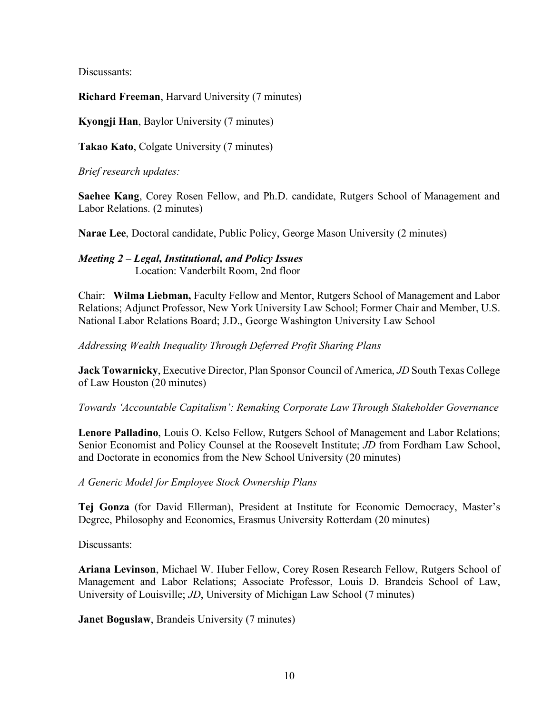Discussants:

**Richard Freeman**, Harvard University (7 minutes)

**Kyongji Han**, Baylor University (7 minutes)

**Takao Kato**, Colgate University (7 minutes)

*Brief research updates:*

**Saehee Kang**, Corey Rosen Fellow, and Ph.D. candidate, Rutgers School of Management and Labor Relations. (2 minutes)

**Narae Lee**, Doctoral candidate, Public Policy, George Mason University (2 minutes)

*Meeting 2 – Legal, Institutional, and Policy Issues* Location: Vanderbilt Room, 2nd floor

Chair: **Wilma Liebman,** Faculty Fellow and Mentor, Rutgers School of Management and Labor Relations; Adjunct Professor, New York University Law School; Former Chair and Member, U.S. National Labor Relations Board; J.D., George Washington University Law School

*Addressing Wealth Inequality Through Deferred Profit Sharing Plans*

**Jack Towarnicky**, Executive Director, Plan Sponsor Council of America, *JD* South Texas College of Law Houston (20 minutes)

*Towards 'Accountable Capitalism': Remaking Corporate Law Through Stakeholder Governance*

**Lenore Palladino**, Louis O. Kelso Fellow, Rutgers School of Management and Labor Relations; Senior Economist and Policy Counsel at the Roosevelt Institute; *JD* from Fordham Law School, and Doctorate in economics from the New School University (20 minutes)

*A Generic Model for Employee Stock Ownership Plans*

**Tej Gonza** (for David Ellerman), President at Institute for Economic Democracy, Master's Degree, Philosophy and Economics, Erasmus University Rotterdam (20 minutes)

Discussants:

**Ariana Levinson**, Michael W. Huber Fellow, Corey Rosen Research Fellow, Rutgers School of Management and Labor Relations; Associate Professor, Louis D. Brandeis School of Law, University of Louisville; *JD*, University of Michigan Law School (7 minutes)

**Janet Boguslaw**, Brandeis University (7 minutes)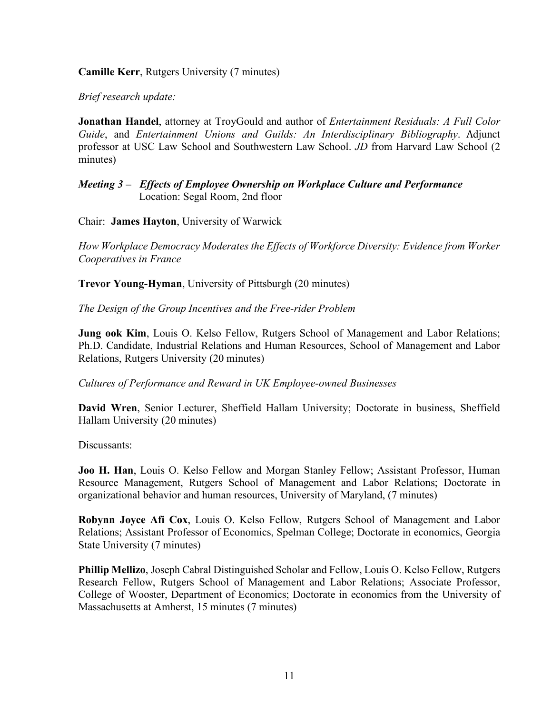# **Camille Kerr**, Rutgers University (7 minutes)

*Brief research update:*

**Jonathan Handel**, attorney at TroyGould and author of *Entertainment Residuals: A Full Color Guide*, and *Entertainment Unions and Guilds: An Interdisciplinary Bibliography*. Adjunct professor at USC Law School and Southwestern Law School. *JD* from Harvard Law School (2 minutes)

## *Meeting 3 – Effects of Employee Ownership on Workplace Culture and Performance* Location: Segal Room, 2nd floor

Chair: **James Hayton**, University of Warwick

*How Workplace Democracy Moderates the Effects of Workforce Diversity: Evidence from Worker Cooperatives in France*

**Trevor Young-Hyman**, University of Pittsburgh (20 minutes)

*The Design of the Group Incentives and the Free-rider Problem*

**Jung ook Kim**, Louis O. Kelso Fellow, Rutgers School of Management and Labor Relations; Ph.D. Candidate, Industrial Relations and Human Resources, School of Management and Labor Relations, Rutgers University (20 minutes)

*Cultures of Performance and Reward in UK Employee-owned Businesses*

**David Wren**, Senior Lecturer, Sheffield Hallam University; Doctorate in business, Sheffield Hallam University (20 minutes)

Discussants:

**Joo H. Han**, Louis O. Kelso Fellow and Morgan Stanley Fellow; Assistant Professor, Human Resource Management, Rutgers School of Management and Labor Relations; Doctorate in organizational behavior and human resources, University of Maryland, (7 minutes)

**Robynn Joyce Afi Cox**, Louis O. Kelso Fellow, Rutgers School of Management and Labor Relations; Assistant Professor of Economics, Spelman College; Doctorate in economics, Georgia State University (7 minutes)

**Phillip Mellizo**, Joseph Cabral Distinguished Scholar and Fellow, Louis O. Kelso Fellow, Rutgers Research Fellow, Rutgers School of Management and Labor Relations; Associate Professor, College of Wooster, Department of Economics; Doctorate in economics from the University of Massachusetts at Amherst, 15 minutes (7 minutes)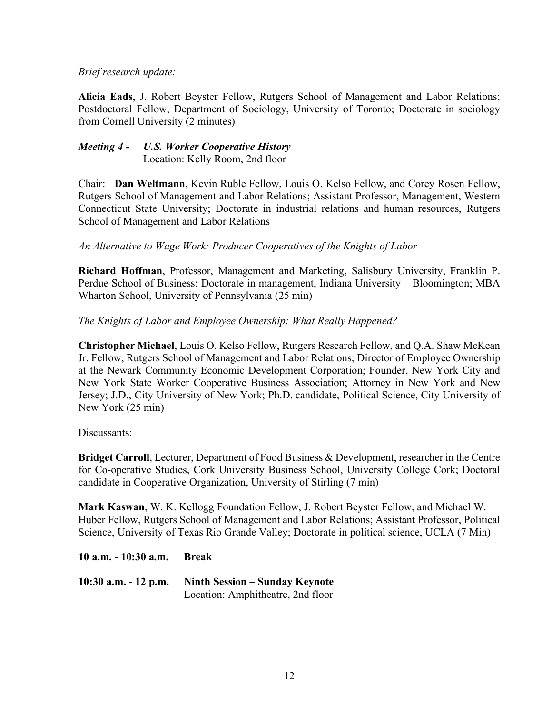# *Brief research update:*

**Alicia Eads**, J. Robert Beyster Fellow, Rutgers School of Management and Labor Relations; Postdoctoral Fellow, Department of Sociology, University of Toronto; Doctorate in sociology from Cornell University (2 minutes)

# *Meeting 4 - U.S. Worker Cooperative History* Location: Kelly Room, 2nd floor

Chair: **Dan Weltmann**, Kevin Ruble Fellow, Louis O. Kelso Fellow, and Corey Rosen Fellow, Rutgers School of Management and Labor Relations; Assistant Professor, Management, Western Connecticut State University; Doctorate in industrial relations and human resources, Rutgers School of Management and Labor Relations

# *An Alternative to Wage Work: Producer Cooperatives of the Knights of Labor*

**Richard Hoffman**, Professor, Management and Marketing, Salisbury University, Franklin P. Perdue School of Business; Doctorate in management, Indiana University – Bloomington; MBA Wharton School, University of Pennsylvania (25 min)

# *The Knights of Labor and Employee Ownership: What Really Happened?*

**Christopher Michael**, Louis O. Kelso Fellow, Rutgers Research Fellow, and Q.A. Shaw McKean Jr. Fellow, Rutgers School of Management and Labor Relations; Director of Employee Ownership at the Newark Community Economic Development Corporation; Founder, New York City and New York State Worker Cooperative Business Association; Attorney in New York and New Jersey; J.D., City University of New York; Ph.D. candidate, Political Science, City University of New York (25 min)

### Discussants:

**Bridget Carroll**, Lecturer, Department of Food Business & Development, researcher in the Centre for Co-operative Studies, Cork University Business School, University College Cork; Doctoral candidate in Cooperative Organization, University of Stirling (7 min)

**Mark Kaswan**, W. K. Kellogg Foundation Fellow, J. Robert Beyster Fellow, and Michael W. Huber Fellow, Rutgers School of Management and Labor Relations; Assistant Professor, Political Science, University of Texas Rio Grande Valley; Doctorate in political science, UCLA (7 Min)

### **10 a.m. - 10:30 a.m. Break**

**10:30 a.m. - 12 p.m. Ninth Session – Sunday Keynote** Location: Amphitheatre, 2nd floor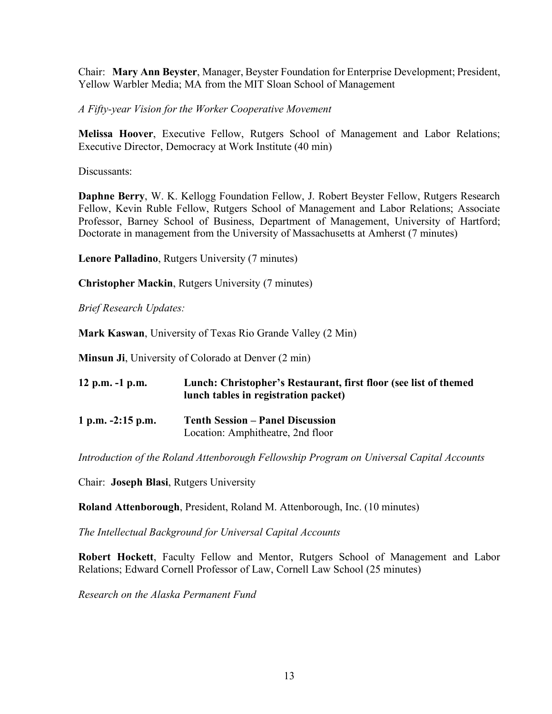Chair: **Mary Ann Beyster**, Manager, Beyster Foundation for Enterprise Development; President, Yellow Warbler Media; MA from the MIT Sloan School of Management

*A Fifty-year Vision for the Worker Cooperative Movement*

**Melissa Hoover**, Executive Fellow, Rutgers School of Management and Labor Relations; Executive Director, Democracy at Work Institute (40 min)

Discussants:

**Daphne Berry**, W. K. Kellogg Foundation Fellow, J. Robert Beyster Fellow, Rutgers Research Fellow, Kevin Ruble Fellow, Rutgers School of Management and Labor Relations; Associate Professor, Barney School of Business, Department of Management, University of Hartford; Doctorate in management from the University of Massachusetts at Amherst (7 minutes)

**Lenore Palladino**, Rutgers University (7 minutes)

**Christopher Mackin**, Rutgers University (7 minutes)

*Brief Research Updates:*

**Mark Kaswan**, University of Texas Rio Grande Valley (2 Min)

**Minsun Ji**, University of Colorado at Denver (2 min)

| 12 p.m. $-1$ p.m.   | Lunch: Christopher's Restaurant, first floor (see list of themed<br>lunch tables in registration packet) |
|---------------------|----------------------------------------------------------------------------------------------------------|
| 1 p.m. $-2:15$ p.m. | <b>Tenth Session – Panel Discussion</b><br>Location: Amphitheatre, 2nd floor                             |

*Introduction of the Roland Attenborough Fellowship Program on Universal Capital Accounts*

Chair: **Joseph Blasi**, Rutgers University

**Roland Attenborough**, President, Roland M. Attenborough, Inc. (10 minutes)

*The Intellectual Background for Universal Capital Accounts*

**Robert Hockett**, Faculty Fellow and Mentor, Rutgers School of Management and Labor Relations; Edward Cornell Professor of Law, Cornell Law School (25 minutes)

*Research on the Alaska Permanent Fund*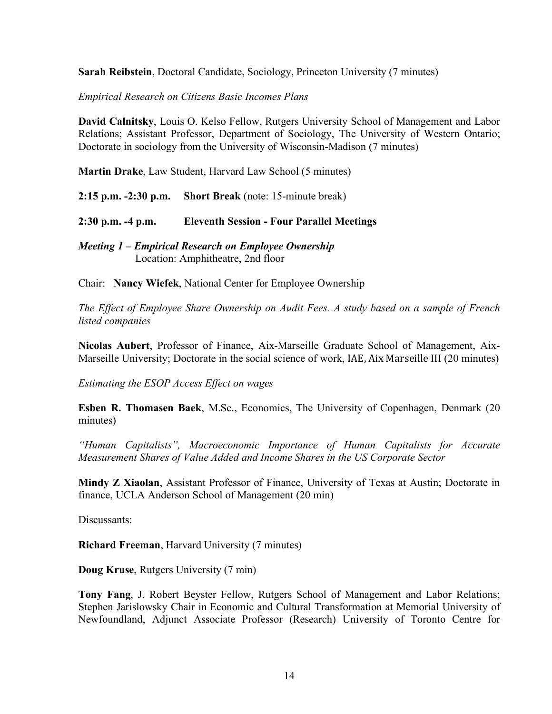**Sarah Reibstein**, Doctoral Candidate, Sociology, Princeton University (7 minutes)

*Empirical Research on Citizens Basic Incomes Plans*

**David Calnitsky**, Louis O. Kelso Fellow, Rutgers University School of Management and Labor Relations; Assistant Professor, Department of Sociology, The University of Western Ontario; Doctorate in sociology from the University of Wisconsin-Madison (7 minutes)

**Martin Drake**, Law Student, Harvard Law School (5 minutes)

**2:15 p.m. -2:30 p.m. Short Break** (note: 15-minute break)

**2:30 p.m. -4 p.m. Eleventh Session - Four Parallel Meetings**

*Meeting 1 – Empirical Research on Employee Ownership* Location: Amphitheatre, 2nd floor

Chair: **Nancy Wiefek**, National Center for Employee Ownership

*The Effect of Employee Share Ownership on Audit Fees. A study based on a sample of French listed companies*

**Nicolas Aubert**, Professor of Finance, Aix-Marseille Graduate School of Management, Aix-Marseille University; Doctorate in the social science of work, IAE, Aix Marseille III (20 minutes)

*Estimating the ESOP Access Effect on wages*

**Esben R. Thomasen Baek**, M.Sc., Economics, The University of Copenhagen, Denmark (20 minutes)

*"Human Capitalists", Macroeconomic Importance of Human Capitalists for Accurate Measurement Shares of Value Added and Income Shares in the US Corporate Sector*

**Mindy Z Xiaolan**, Assistant Professor of Finance, University of Texas at Austin; Doctorate in finance, UCLA Anderson School of Management (20 min)

Discussants:

**Richard Freeman**, Harvard University (7 minutes)

**Doug Kruse**, Rutgers University (7 min)

**Tony Fang**, J. Robert Beyster Fellow, Rutgers School of Management and Labor Relations; Stephen Jarislowsky Chair in Economic and Cultural Transformation at Memorial University of Newfoundland, Adjunct Associate Professor (Research) University of Toronto Centre for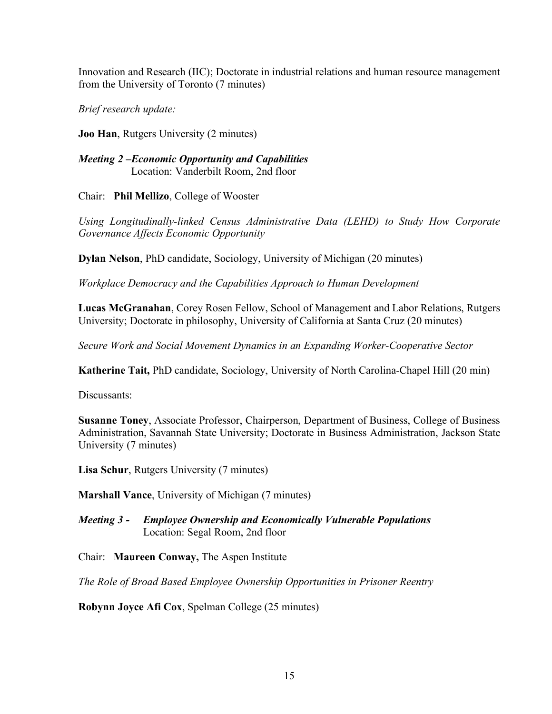Innovation and Research (IIC); Doctorate in industrial relations and human resource management from the University of Toronto (7 minutes)

*Brief research update:*

**Joo Han**, Rutgers University (2 minutes)

*Meeting 2 –Economic Opportunity and Capabilities* Location: Vanderbilt Room, 2nd floor

Chair: **Phil Mellizo**, College of Wooster

*Using Longitudinally-linked Census Administrative Data (LEHD) to Study How Corporate Governance Affects Economic Opportunity*

**Dylan Nelson**, PhD candidate, Sociology, University of Michigan (20 minutes)

*Workplace Democracy and the Capabilities Approach to Human Development*

**Lucas McGranahan**, Corey Rosen Fellow, School of Management and Labor Relations, Rutgers University; Doctorate in philosophy, University of California at Santa Cruz (20 minutes)

*Secure Work and Social Movement Dynamics in an Expanding Worker-Cooperative Sector*

**Katherine Tait,** PhD candidate, Sociology, University of North Carolina-Chapel Hill (20 min)

Discussants:

**Susanne Toney**, Associate Professor, Chairperson, Department of Business, College of Business Administration, Savannah State University; Doctorate in Business Administration, Jackson State University (7 minutes)

**Lisa Schur**, Rutgers University (7 minutes)

**Marshall Vance**, University of Michigan (7 minutes)

*Meeting 3 - Employee Ownership and Economically Vulnerable Populations* Location: Segal Room, 2nd floor

Chair: **Maureen Conway,** The Aspen Institute

*The Role of Broad Based Employee Ownership Opportunities in Prisoner Reentry*

**Robynn Joyce Afi Cox**, Spelman College (25 minutes)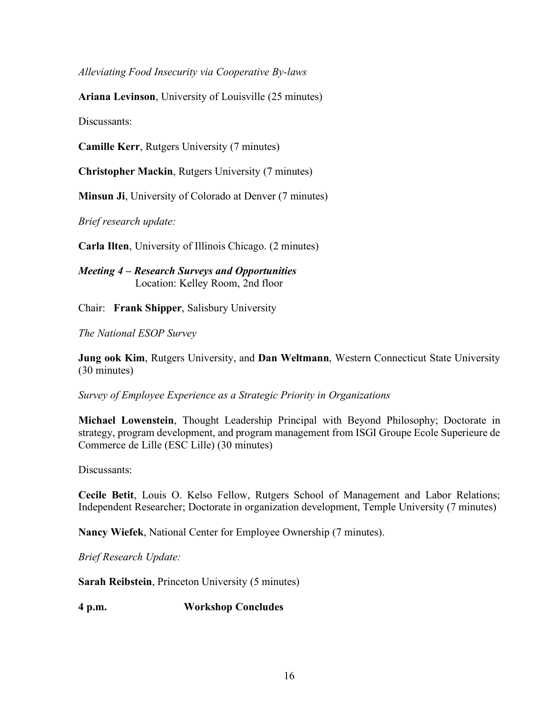*Alleviating Food Insecurity via Cooperative By-laws*

**Ariana Levinson**, University of Louisville (25 minutes)

Discussants:

**Camille Kerr**, Rutgers University (7 minutes)

**Christopher Mackin**, Rutgers University (7 minutes)

**Minsun Ji**, University of Colorado at Denver (7 minutes)

*Brief research update:*

**Carla Ilten**, University of Illinois Chicago. (2 minutes)

*Meeting 4 – Research Surveys and Opportunities* Location: Kelley Room, 2nd floor

Chair: **Frank Shipper**, Salisbury University

*The National ESOP Survey*

**Jung ook Kim**, Rutgers University, and **Dan Weltmann**, Western Connecticut State University (30 minutes)

*Survey of Employee Experience as a Strategic Priority in Organizations*

**Michael Lowenstein**, Thought Leadership Principal with Beyond Philosophy; Doctorate in strategy, program development, and program management from ISGI Groupe Ecole Superieure de Commerce de Lille (ESC Lille) (30 minutes)

Discussants:

**Cecile Betit**, Louis O. Kelso Fellow, Rutgers School of Management and Labor Relations; Independent Researcher; Doctorate in organization development, Temple University (7 minutes)

**Nancy Wiefek**, National Center for Employee Ownership (7 minutes).

*Brief Research Update:*

**Sarah Reibstein**, Princeton University (5 minutes)

**4 p.m. Workshop Concludes**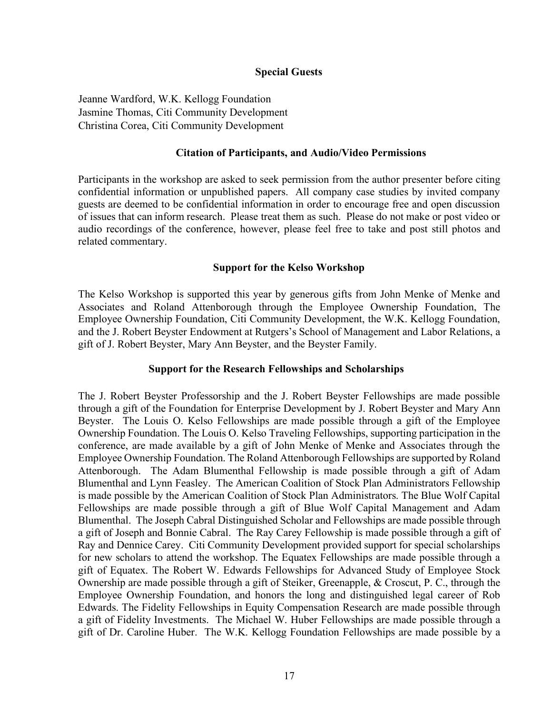# **Special Guests**

Jeanne Wardford, W.K. Kellogg Foundation Jasmine Thomas, Citi Community Development Christina Corea, Citi Community Development

#### **Citation of Participants, and Audio/Video Permissions**

Participants in the workshop are asked to seek permission from the author presenter before citing confidential information or unpublished papers. All company case studies by invited company guests are deemed to be confidential information in order to encourage free and open discussion of issues that can inform research. Please treat them as such. Please do not make or post video or audio recordings of the conference, however, please feel free to take and post still photos and related commentary.

#### **Support for the Kelso Workshop**

The Kelso Workshop is supported this year by generous gifts from John Menke of Menke and Associates and Roland Attenborough through the Employee Ownership Foundation, The Employee Ownership Foundation, Citi Community Development, the W.K. Kellogg Foundation, and the J. Robert Beyster Endowment at Rutgers's School of Management and Labor Relations, a gift of J. Robert Beyster, Mary Ann Beyster, and the Beyster Family.

#### **Support for the Research Fellowships and Scholarships**

The J. Robert Beyster Professorship and the J. Robert Beyster Fellowships are made possible through a gift of the Foundation for Enterprise Development by J. Robert Beyster and Mary Ann Beyster. The Louis O. Kelso Fellowships are made possible through a gift of the Employee Ownership Foundation. The Louis O. Kelso Traveling Fellowships, supporting participation in the conference, are made available by a gift of John Menke of Menke and Associates through the Employee Ownership Foundation. The Roland Attenborough Fellowships are supported by Roland Attenborough. The Adam Blumenthal Fellowship is made possible through a gift of Adam Blumenthal and Lynn Feasley. The American Coalition of Stock Plan Administrators Fellowship is made possible by the American Coalition of Stock Plan Administrators. The Blue Wolf Capital Fellowships are made possible through a gift of Blue Wolf Capital Management and Adam Blumenthal. The Joseph Cabral Distinguished Scholar and Fellowships are made possible through a gift of Joseph and Bonnie Cabral. The Ray Carey Fellowship is made possible through a gift of Ray and Dennice Carey. Citi Community Development provided support for special scholarships for new scholars to attend the workshop. The Equatex Fellowships are made possible through a gift of Equatex. The Robert W. Edwards Fellowships for Advanced Study of Employee Stock Ownership are made possible through a gift of Steiker, Greenapple, & Croscut, P. C., through the Employee Ownership Foundation, and honors the long and distinguished legal career of Rob Edwards. The Fidelity Fellowships in Equity Compensation Research are made possible through a gift of Fidelity Investments. The Michael W. Huber Fellowships are made possible through a gift of Dr. Caroline Huber. The W.K. Kellogg Foundation Fellowships are made possible by a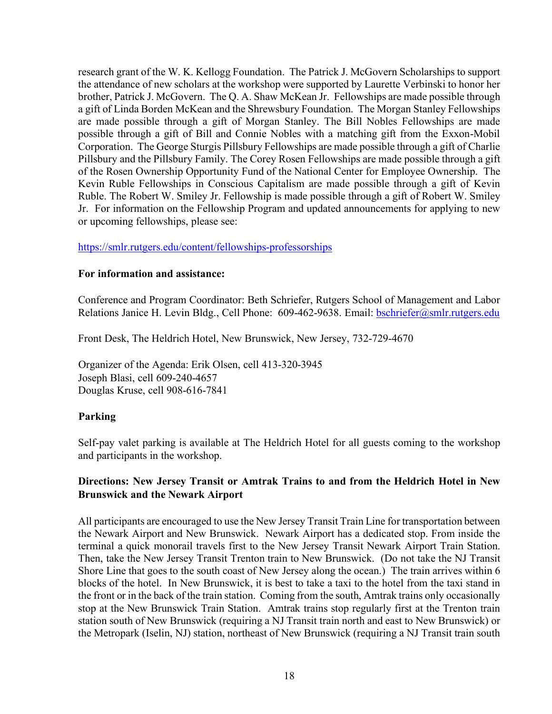research grant of the W. K. Kellogg Foundation. The Patrick J. McGovern Scholarships to support the attendance of new scholars at the workshop were supported by Laurette Verbinski to honor her brother, Patrick J. McGovern. The Q. A. Shaw McKean Jr. Fellowships are made possible through a gift of Linda Borden McKean and the Shrewsbury Foundation. The Morgan Stanley Fellowships are made possible through a gift of Morgan Stanley. The Bill Nobles Fellowships are made possible through a gift of Bill and Connie Nobles with a matching gift from the Exxon-Mobil Corporation. The George Sturgis Pillsbury Fellowships are made possible through a gift of Charlie Pillsbury and the Pillsbury Family. The Corey Rosen Fellowships are made possible through a gift of the Rosen Ownership Opportunity Fund of the National Center for Employee Ownership. The Kevin Ruble Fellowships in Conscious Capitalism are made possible through a gift of Kevin Ruble. The Robert W. Smiley Jr. Fellowship is made possible through a gift of Robert W. Smiley Jr. For information on the Fellowship Program and updated announcements for applying to new or upcoming fellowships, please see:

### https://smlr.rutgers.edu/content/fellowships-professorships

### **For information and assistance:**

Conference and Program Coordinator: Beth Schriefer, Rutgers School of Management and Labor Relations Janice H. Levin Bldg., Cell Phone: 609-462-9638. Email: bschriefer@smlr.rutgers.edu

Front Desk, The Heldrich Hotel, New Brunswick, New Jersey, 732-729-4670

Organizer of the Agenda: Erik Olsen, cell 413-320-3945 Joseph Blasi, cell 609-240-4657 Douglas Kruse, cell 908-616-7841

### **Parking**

Self-pay valet parking is available at The Heldrich Hotel for all guests coming to the workshop and participants in the workshop.

# **Directions: New Jersey Transit or Amtrak Trains to and from the Heldrich Hotel in New Brunswick and the Newark Airport**

All participants are encouraged to use the New Jersey Transit Train Line for transportation between the Newark Airport and New Brunswick. Newark Airport has a dedicated stop. From inside the terminal a quick monorail travels first to the New Jersey Transit Newark Airport Train Station. Then, take the New Jersey Transit Trenton train to New Brunswick. (Do not take the NJ Transit Shore Line that goes to the south coast of New Jersey along the ocean.) The train arrives within 6 blocks of the hotel. In New Brunswick, it is best to take a taxi to the hotel from the taxi stand in the front or in the back of the train station. Coming from the south, Amtrak trains only occasionally stop at the New Brunswick Train Station. Amtrak trains stop regularly first at the Trenton train station south of New Brunswick (requiring a NJ Transit train north and east to New Brunswick) or the Metropark (Iselin, NJ) station, northeast of New Brunswick (requiring a NJ Transit train south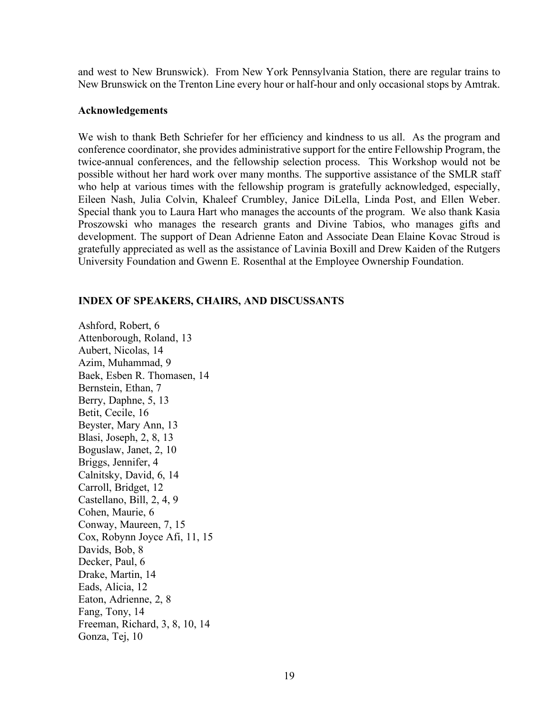and west to New Brunswick). From New York Pennsylvania Station, there are regular trains to New Brunswick on the Trenton Line every hour or half-hour and only occasional stops by Amtrak.

#### **Acknowledgements**

We wish to thank Beth Schriefer for her efficiency and kindness to us all. As the program and conference coordinator, she provides administrative support for the entire Fellowship Program, the twice-annual conferences, and the fellowship selection process. This Workshop would not be possible without her hard work over many months. The supportive assistance of the SMLR staff who help at various times with the fellowship program is gratefully acknowledged, especially, Eileen Nash, Julia Colvin, Khaleef Crumbley, Janice DiLella, Linda Post, and Ellen Weber. Special thank you to Laura Hart who manages the accounts of the program. We also thank Kasia Proszowski who manages the research grants and Divine Tabios, who manages gifts and development. The support of Dean Adrienne Eaton and Associate Dean Elaine Kovac Stroud is gratefully appreciated as well as the assistance of Lavinia Boxill and Drew Kaiden of the Rutgers University Foundation and Gwenn E. Rosenthal at the Employee Ownership Foundation.

#### **INDEX OF SPEAKERS, CHAIRS, AND DISCUSSANTS**

Ashford, Robert, 6 Attenborough, Roland, 13 Aubert, Nicolas, 14 Azim, Muhammad, 9 Baek, Esben R. Thomasen, 14 Bernstein, Ethan, 7 Berry, Daphne, 5, 13 Betit, Cecile, 16 Beyster, Mary Ann, 13 Blasi, Joseph, 2, 8, 13 Boguslaw, Janet, 2, 10 Briggs, Jennifer, 4 Calnitsky, David, 6, 14 Carroll, Bridget, 12 Castellano, Bill, 2, 4, 9 Cohen, Maurie, 6 Conway, Maureen, 7, 15 Cox, Robynn Joyce Afi, 11, 15 Davids, Bob, 8 Decker, Paul, 6 Drake, Martin, 14 Eads, Alicia, 12 Eaton, Adrienne, 2, 8 Fang, Tony, 14 Freeman, Richard, 3, 8, 10, 14 Gonza, Tej, 10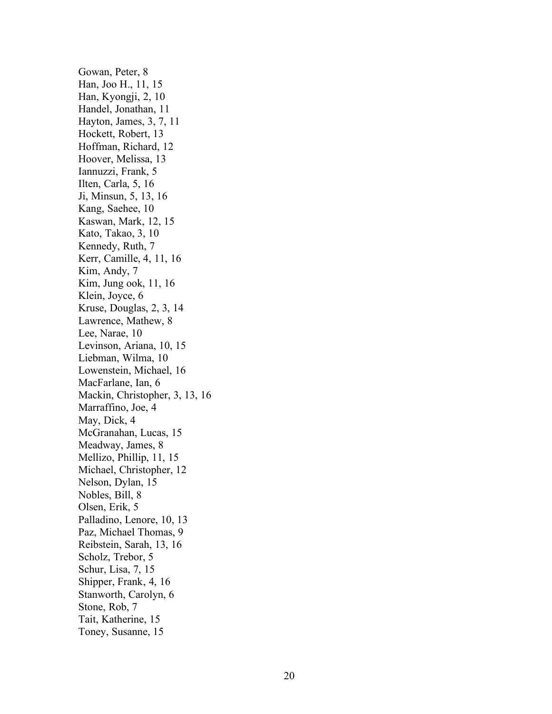Gowan , Peter, 8 Han, Joo H., 11, 15 Han, Kyongji, 2, 10 Handel, Jonathan, 11 Hayton , James, 3, 7, 1 1 Hockett , Robert, 1 3 Hoffman , Richard, 1 2 Hoover , Melissa, 13 Iannuzzi , Frank, 5 Ilten, Carla, 5, 16 Ji , Minsun, 5, 13, 16 Kang , Saehee, 1 0 Kaswan, Mark, 12, 15 Kato , Takao, 3, 10 Kennedy , Ruth, 7 Kerr , Camille, 4, 11, 1 6 Kim , Andy, 7 Kim , Jung ook, 11, 16 Klein , Joyce, 6 Kruse, Douglas, 2, 3, 1 4 Lawrence , Mathew, 8 Lee, Narae, 10 Levinson, Ariana, 10, 15 Liebman , Wilma, 10 Lowenstein, Michael, 16 MacFarlane, Ian, 6 Mackin, Christopher, 3, 13, 16 Marraffino , Joe, 4 May , Dick, 4 McGranahan, Lucas, 15 Meadway , James, 8 Mellizo , Phillip, 11, 15 Michael, Christopher, 12 Nelson , Dylan, 1 5 Nobles , Bill, 8 Olsen , Erik, 5 Palladino, Lenore, 10, 13 Paz , Michael Thomas, 9 Reibstein , Sarah, 1 3, 1 6 Scholz , Trebor, 5 Schur , Lisa, 7, 1 5 Shipper, Frank, 4, 16 Stanworth, Carolyn, 6 Stone , Rob, 7 Tait , Katherine, 15 Toney , Susanne, 15